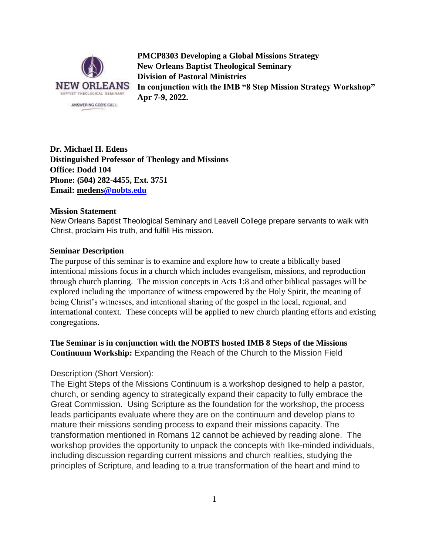

**PMCP8303 Developing a Global Missions Strategy New Orleans Baptist Theological Seminary Division of Pastoral Ministries In conjunction with the IMB "8 Step Mission Strategy Workshop" Apr 7-9, 2022.**

**Dr. Michael H. Edens Distinguished Professor of Theology and Missions Office: Dodd 104 Phone: (504) 282-4455, Ext. 3751 Email: medens@nobts.edu** 

#### **Mission Statement**

New Orleans Baptist Theological Seminary and Leavell College prepare servants to walk with Christ, proclaim His truth, and fulfill His mission.

#### **Seminar Description**

The purpose of this seminar is to examine and explore how to create a biblically based intentional missions focus in a church which includes evangelism, missions, and reproduction through church planting. The mission concepts in Acts 1:8 and other biblical passages will be explored including the importance of witness empowered by the Holy Spirit, the meaning of being Christ's witnesses, and intentional sharing of the gospel in the local, regional, and international context. These concepts will be applied to new church planting efforts and existing congregations.

## **The Seminar is in conjunction with the NOBTS hosted IMB 8 Steps of the Missions Continuum Workship:** Expanding the Reach of the Church to the Mission Field

### Description (Short Version):

The Eight Steps of the Missions Continuum is a workshop designed to help a pastor, church, or sending agency to strategically expand their capacity to fully embrace the Great Commission. Using Scripture as the foundation for the workshop, the process leads participants evaluate where they are on the continuum and develop plans to mature their missions sending process to expand their missions capacity. The transformation mentioned in Romans 12 cannot be achieved by reading alone. The workshop provides the opportunity to unpack the concepts with like-minded individuals, including discussion regarding current missions and church realities, studying the principles of Scripture, and leading to a true transformation of the heart and mind to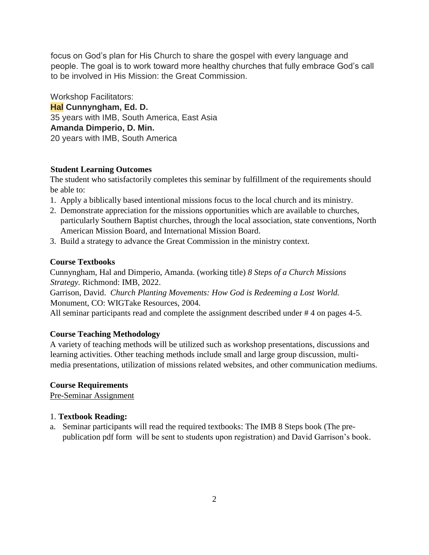focus on God's plan for His Church to share the gospel with every language and people. The goal is to work toward more healthy churches that fully embrace God's call to be involved in His Mission: the Great Commission.

Workshop Facilitators: **Hal Cunnyngham, Ed. D.** 35 years with IMB, South America, East Asia **Amanda Dimperio, D. Min.** 20 years with IMB, South America

## **Student Learning Outcomes**

The student who satisfactorily completes this seminar by fulfillment of the requirements should be able to:

- 1. Apply a biblically based intentional missions focus to the local church and its ministry.
- 2. Demonstrate appreciation for the missions opportunities which are available to churches, particularly Southern Baptist churches, through the local association, state conventions, North American Mission Board, and International Mission Board.
- 3. Build a strategy to advance the Great Commission in the ministry context.

## **Course Textbooks**

Cunnyngham, Hal and Dimperio, Amanda. (working title) *8 Steps of a Church Missions Strategy.* Richmond: IMB, 2022.

Garrison, David. *Church Planting Movements: How God is Redeeming a Lost World.* Monument, CO: WIGTake Resources, 2004.

All seminar participants read and complete the assignment described under #4 on pages 4-5.

# **Course Teaching Methodology**

A variety of teaching methods will be utilized such as workshop presentations, discussions and learning activities. Other teaching methods include small and large group discussion, multimedia presentations, utilization of missions related websites, and other communication mediums.

# **Course Requirements**

Pre-Seminar Assignment

### 1. **Textbook Reading:**

a. Seminar participants will read the required textbooks: The IMB 8 Steps book (The prepublication pdf form will be sent to students upon registration) and David Garrison's book.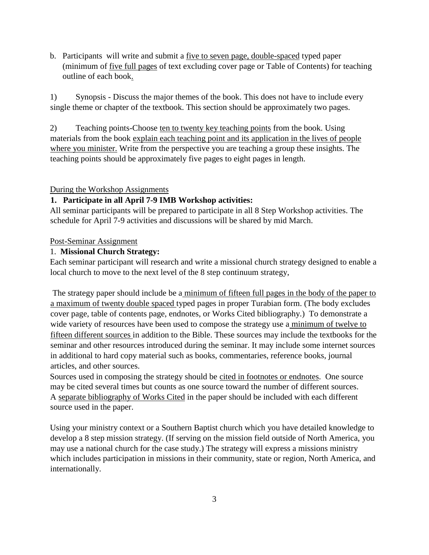b. Participants will write and submit a five to seven page, double-spaced typed paper (minimum of five full pages of text excluding cover page or Table of Contents) for teaching outline of each book.

1) Synopsis - Discuss the major themes of the book. This does not have to include every single theme or chapter of the textbook. This section should be approximately two pages.

2) Teaching points-Choose ten to twenty key teaching points from the book. Using materials from the book explain each teaching point and its application in the lives of people where you minister. Write from the perspective you are teaching a group these insights. The teaching points should be approximately five pages to eight pages in length.

## During the Workshop Assignments

# **1. Participate in all April 7-9 IMB Workshop activities:**

All seminar participants will be prepared to participate in all 8 Step Workshop activities. The schedule for April 7-9 activities and discussions will be shared by mid March.

## Post-Seminar Assignment

## 1. **Missional Church Strategy:**

Each seminar participant will research and write a missional church strategy designed to enable a local church to move to the next level of the 8 step continuum strategy,

The strategy paper should include be a minimum of fifteen full pages in the body of the paper to a maximum of twenty double spaced typed pages in proper Turabian form. (The body excludes cover page, table of contents page, endnotes, or Works Cited bibliography.) To demonstrate a wide variety of resources have been used to compose the strategy use a minimum of twelve to fifteen different sources in addition to the Bible. These sources may include the textbooks for the seminar and other resources introduced during the seminar. It may include some internet sources in additional to hard copy material such as books, commentaries, reference books, journal articles, and other sources.

Sources used in composing the strategy should be cited in footnotes or endnotes. One source may be cited several times but counts as one source toward the number of different sources. A separate bibliography of Works Cited in the paper should be included with each different source used in the paper.

Using your ministry context or a Southern Baptist church which you have detailed knowledge to develop a 8 step mission strategy. (If serving on the mission field outside of North America, you may use a national church for the case study.) The strategy will express a missions ministry which includes participation in missions in their community, state or region, North America, and internationally.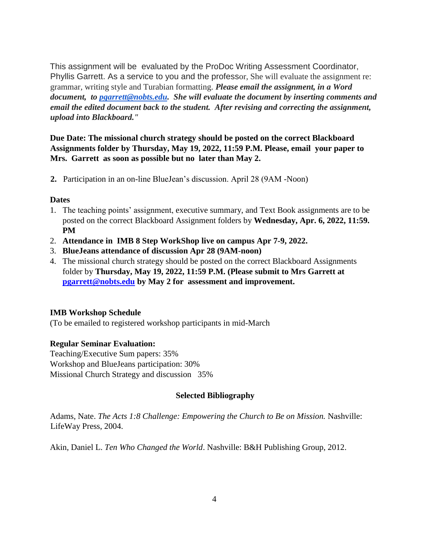This assignment will be evaluated by the ProDoc Writing Assessment Coordinator, Phyllis Garrett. As a service to you and the professor, She will evaluate the assignment re: grammar, writing style and Turabian formatting. *Please email the assignment, in a Word document, to [pgarrett@nobts.edu.](mailto:pgarrett@nobts.edu) She will evaluate the document by inserting comments and email the edited document back to the student. After revising and correcting the assignment, upload into Blackboard."*

**Due Date: The missional church strategy should be posted on the correct Blackboard Assignments folder by Thursday, May 19, 2022, 11:59 P.M. Please, email your paper to Mrs. Garrett as soon as possible but no later than May 2.**

**2.** Participation in an on-line BlueJean's discussion. April 28 (9AM -Noon)

### **Dates**

- 1. The teaching points' assignment, executive summary, and Text Book assignments are to be posted on the correct Blackboard Assignment folders by **Wednesday, Apr. 6, 2022, 11:59. PM**
- 2. **Attendance in IMB 8 Step WorkShop live on campus Apr 7-9, 2022.**
- 3. **BlueJeans attendance of discussion Apr 28 (9AM-noon)**
- 4. The missional church strategy should be posted on the correct Blackboard Assignments folder by **Thursday, May 19, 2022, 11:59 P.M. (Please submit to Mrs Garrett at [pgarrett@nobts.edu](mailto:pgarrett@nobts.edu) by May 2 for assessment and improvement.**

### **IMB Workshop Schedule**

(To be emailed to registered workshop participants in mid-March

### **Regular Seminar Evaluation:**

Teaching/Executive Sum papers: 35% Workshop and BlueJeans participation: 30% Missional Church Strategy and discussion 35%

### **Selected Bibliography**

Adams, Nate. *The Acts 1:8 Challenge: Empowering the Church to Be on Mission*. Nashville: LifeWay Press, 2004.

Akin, Daniel L. *Ten Who Changed the World*. Nashville: B&H Publishing Group, 2012.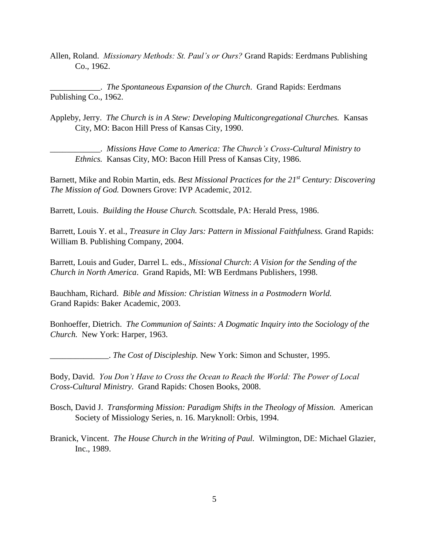Allen, Roland. *Missionary Methods: St. Paul's or Ours?* Grand Rapids: Eerdmans Publishing Co., 1962.

\_\_\_\_\_\_\_\_\_\_\_\_. *The Spontaneous Expansion of the Church*. Grand Rapids: Eerdmans Publishing Co., 1962.

Appleby, Jerry. *The Church is in A Stew: Developing Multicongregational Churches.* Kansas City, MO: Bacon Hill Press of Kansas City, 1990.

\_\_\_\_\_\_\_\_\_\_\_\_. *Missions Have Come to America: The Church's Cross-Cultural Ministry to Ethnics.* Kansas City, MO: Bacon Hill Press of Kansas City, 1986.

Barnett, Mike and Robin Martin, eds. *Best Missional Practices for the 21st Century: Discovering The Mission of God.* Downers Grove: IVP Academic, 2012.

Barrett, Louis. *Building the House Church.* Scottsdale, PA: Herald Press, 1986.

Barrett, Louis Y. et al., *Treasure in Clay Jars: Pattern in Missional Faithfulness.* Grand Rapids: William B. Publishing Company, 2004.

Barrett, Louis and Guder, Darrel L. eds., *Missional Church*: *A Vision for the Sending of the Church in North America*. Grand Rapids, MI: WB Eerdmans Publishers, 1998.

Bauchham, Richard. *Bible and Mission: Christian Witness in a Postmodern World.*  Grand Rapids: Baker Academic, 2003.

Bonhoeffer, Dietrich. *The Communion of Saints: A Dogmatic Inquiry into the Sociology of the Church.* New York: Harper, 1963.

\_\_\_\_\_\_\_\_\_\_\_\_\_\_. *The Cost of Discipleship.* New York: Simon and Schuster, 1995.

Body, David. *You Don't Have to Cross the Ocean to Reach the World: The Power of Local Cross-Cultural Ministry.* Grand Rapids: Chosen Books, 2008.

- Bosch, David J. *Transforming Mission: Paradigm Shifts in the Theology of Mission.* American Society of Missiology Series, n. 16. Maryknoll: Orbis, 1994.
- Branick, Vincent. *The House Church in the Writing of Paul.* Wilmington, DE: Michael Glazier, Inc., 1989.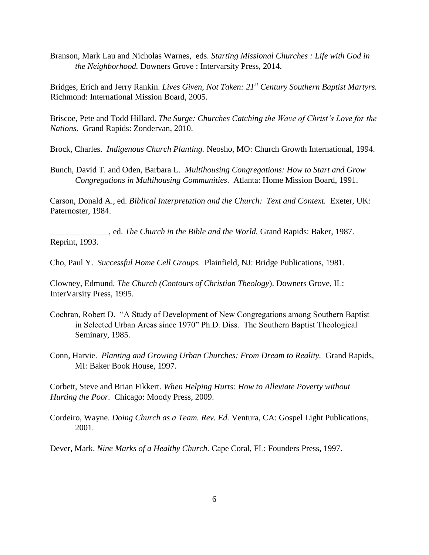Branson, Mark Lau and Nicholas Warnes, eds. *Starting Missional Churches : Life with God in the Neighborhood.* Downers Grove : Intervarsity Press, 2014.

Bridges, Erich and Jerry Rankin. *Lives Given, Not Taken: 21st Century Southern Baptist Martyrs.*  Richmond: International Mission Board, 2005.

Briscoe, Pete and Todd Hillard. *The Surge: Churches Catching the Wave of Christ's Love for the Nations.* Grand Rapids: Zondervan, 2010.

Brock, Charles. *Indigenous Church Planting.* Neosho, MO: Church Growth International, 1994.

Bunch, David T. and Oden, Barbara L. *Multihousing Congregations: How to Start and Grow Congregations in Multihousing Communities*. Atlanta: Home Mission Board, 1991.

Carson, Donald A., ed. *Biblical Interpretation and the Church: Text and Context.* Exeter, UK: Paternoster, 1984.

\_\_\_\_\_\_\_\_\_\_\_\_\_\_, ed. *The Church in the Bible and the World.* Grand Rapids: Baker, 1987. Reprint, 1993.

Cho, Paul Y. *Successful Home Cell Groups.* Plainfield, NJ: Bridge Publications, 1981.

Clowney, Edmund. *The Church (Contours of Christian Theology*). Downers Grove, IL: InterVarsity Press, 1995.

- Cochran, Robert D. "A Study of Development of New Congregations among Southern Baptist in Selected Urban Areas since 1970" Ph.D. Diss. The Southern Baptist Theological Seminary, 1985.
- Conn, Harvie. *Planting and Growing Urban Churches: From Dream to Reality.* Grand Rapids, MI: Baker Book House, 1997.

Corbett, Steve and Brian Fikkert. *When Helping Hurts: How to Alleviate Poverty without Hurting the Poor.* Chicago: Moody Press, 2009.

Cordeiro, Wayne. *Doing Church as a Team. Rev. Ed.* Ventura, CA: Gospel Light Publications, 2001.

Dever, Mark. *Nine Marks of a Healthy Church.* Cape Coral, FL: Founders Press, 1997.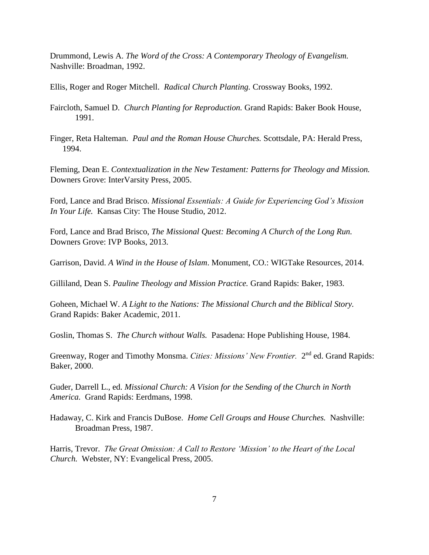Drummond, Lewis A. *The Word of the Cross: A Contemporary Theology of Evangelism.* Nashville: Broadman, 1992.

Ellis, Roger and Roger Mitchell. *Radical Church Planting.* Crossway Books, 1992.

Faircloth, Samuel D. *Church Planting for Reproduction.* Grand Rapids: Baker Book House, 1991.

Finger, Reta Halteman. *Paul and the Roman House Churches.* Scottsdale, PA: Herald Press, 1994.

Fleming, Dean E. *Contextualization in the New Testament: Patterns for Theology and Mission.*  Downers Grove: InterVarsity Press, 2005.

Ford, Lance and Brad Brisco. *Missional Essentials: A Guide for Experiencing God's Mission In Your Life.* Kansas City: The House Studio, 2012.

Ford, Lance and Brad Brisco, *The Missional Quest: Becoming A Church of the Long Run.* Downers Grove: IVP Books, 2013.

Garrison, David. *A Wind in the House of Islam*. Monument, CO.: WIGTake Resources, 2014.

Gilliland, Dean S. *Pauline Theology and Mission Practice.* Grand Rapids: Baker, 1983.

Goheen, Michael W. *A Light to the Nations: The Missional Church and the Biblical Story.*  Grand Rapids: Baker Academic, 2011.

Goslin, Thomas S. *The Church without Walls.* Pasadena: Hope Publishing House, 1984.

Greenway, Roger and Timothy Monsma. *Cities: Missions' New Frontier*. 2<sup>nd</sup> ed. Grand Rapids: Baker, 2000.

Guder, Darrell L., ed. *Missional Church: A Vision for the Sending of the Church in North America.* Grand Rapids: Eerdmans, 1998.

Hadaway, C. Kirk and Francis DuBose. *Home Cell Groups and House Churches.* Nashville: Broadman Press, 1987.

Harris, Trevor. *The Great Omission: A Call to Restore 'Mission' to the Heart of the Local Church.* Webster, NY: Evangelical Press, 2005.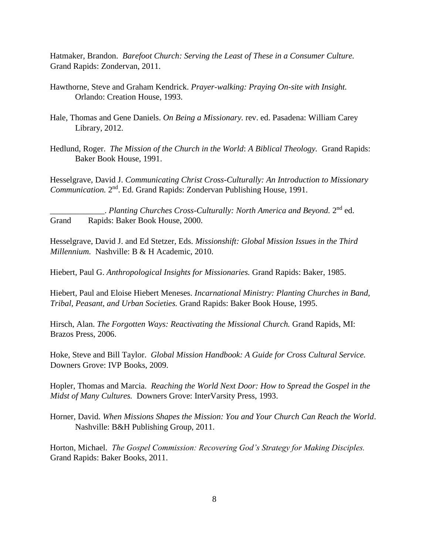Hatmaker, Brandon. *Barefoot Church: Serving the Least of These in a Consumer Culture.*  Grand Rapids: Zondervan, 2011.

- Hawthorne, Steve and Graham Kendrick. *Prayer-walking: Praying On-site with Insight.*  Orlando: Creation House, 1993.
- Hale, Thomas and Gene Daniels. *On Being a Missionary.* rev. ed. Pasadena: William Carey Library, 2012.
- Hedlund, Roger. *The Mission of the Church in the World*: *A Biblical Theology.* Grand Rapids: Baker Book House, 1991.

Hesselgrave, David J. *Communicating Christ Cross-Culturally: An Introduction to Missionary*  Communication. 2<sup>nd</sup>. Ed. Grand Rapids: Zondervan Publishing House, 1991.

Latter Letting Churches Cross-Culturally: North America and Beyond. 2<sup>nd</sup> ed. Grand Rapids: Baker Book House, 2000.

Hesselgrave, David J. and Ed Stetzer, Eds. *Missionshift: Global Mission Issues in the Third Millennium.* Nashville: B & H Academic, 2010.

Hiebert, Paul G. *Anthropological Insights for Missionaries.* Grand Rapids: Baker, 1985.

Hiebert, Paul and Eloise Hiebert Meneses. *Incarnational Ministry: Planting Churches in Band, Tribal, Peasant, and Urban Societies.* Grand Rapids: Baker Book House, 1995.

Hirsch, Alan. *The Forgotten Ways: Reactivating the Missional Church.* Grand Rapids, MI: Brazos Press, 2006.

Hoke, Steve and Bill Taylor. *Global Mission Handbook: A Guide for Cross Cultural Service.*  Downers Grove: IVP Books, 2009.

Hopler, Thomas and Marcia. *Reaching the World Next Door: How to Spread the Gospel in the Midst of Many Cultures.* Downers Grove: InterVarsity Press, 1993.

Horner, David. *When Missions Shapes the Mission: You and Your Church Can Reach the World*. Nashville: B&H Publishing Group, 2011.

Horton, Michael. *The Gospel Commission: Recovering God's Strategy for Making Disciples.*  Grand Rapids: Baker Books, 2011.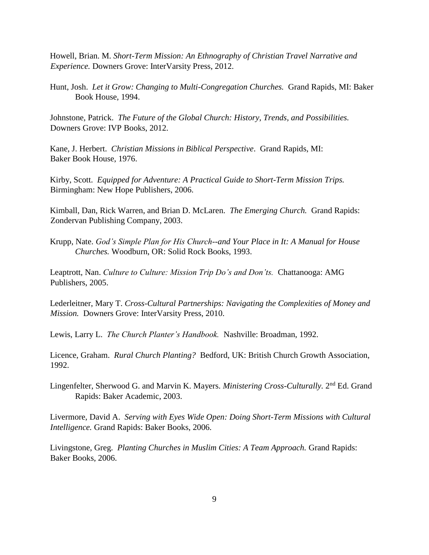Howell, Brian. M. *Short-Term Mission: An Ethnography of Christian Travel Narrative and Experience.* Downers Grove: InterVarsity Press, 2012.

Hunt, Josh. *Let it Grow: Changing to Multi-Congregation Churches.* Grand Rapids, MI: Baker Book House, 1994.

Johnstone, Patrick. *The Future of the Global Church: History, Trends, and Possibilities.*  Downers Grove: IVP Books, 2012.

Kane, J. Herbert. *Christian Missions in Biblical Perspective*. Grand Rapids, MI: Baker Book House, 1976.

Kirby, Scott. *Equipped for Adventure: A Practical Guide to Short-Term Mission Trips.*  Birmingham: New Hope Publishers, 2006.

Kimball, Dan, Rick Warren, and Brian D. McLaren. *The Emerging Church.* Grand Rapids: Zondervan Publishing Company, 2003.

Krupp, Nate. *God's Simple Plan for His Church--and Your Place in It: A Manual for House Churches.* Woodburn, OR: Solid Rock Books, 1993.

Leaptrott, Nan. *Culture to Culture: Mission Trip Do's and Don'ts.* Chattanooga: AMG Publishers, 2005.

Lederleitner, Mary T. *Cross-Cultural Partnerships: Navigating the Complexities of Money and Mission.* Downers Grove: InterVarsity Press, 2010.

Lewis, Larry L. *The Church Planter's Handbook.* Nashville: Broadman, 1992.

Licence, Graham. *Rural Church Planting?* Bedford, UK: British Church Growth Association, 1992.

Lingenfelter, Sherwood G. and Marvin K. Mayers. *Ministering Cross-Culturally*. 2<sup>nd</sup> Ed. Grand Rapids: Baker Academic, 2003.

Livermore, David A. *Serving with Eyes Wide Open: Doing Short-Term Missions with Cultural Intelligence.* Grand Rapids: Baker Books, 2006.

Livingstone, Greg. *Planting Churches in Muslim Cities: A Team Approach.* Grand Rapids: Baker Books, 2006.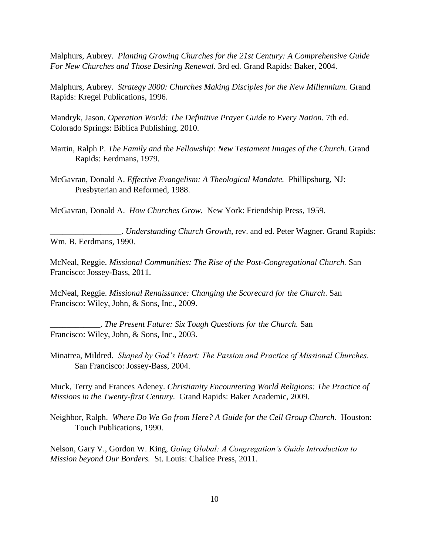Malphurs, Aubrey. *Planting Growing Churches for the 21st Century: A Comprehensive Guide For New Churches and Those Desiring Renewal.* 3rd ed. Grand Rapids: Baker, 2004.

Malphurs, Aubrey. *Strategy 2000: Churches Making Disciples for the New Millennium.* Grand Rapids: Kregel Publications, 1996.

Mandryk, Jason. *Operation World: The Definitive Prayer Guide to Every Nation*. 7th ed. Colorado Springs: Biblica Publishing, 2010.

- Martin, Ralph P. *The Family and the Fellowship: New Testament Images of the Church.* Grand Rapids: Eerdmans, 1979.
- McGavran, Donald A. *Effective Evangelism: A Theological Mandate.* Phillipsburg, NJ: Presbyterian and Reformed, 1988.

McGavran, Donald A. *How Churches Grow.* New York: Friendship Press, 1959.

\_\_\_\_\_\_\_\_\_\_\_\_\_\_\_\_\_. *Understanding Church Growth,* rev. and ed. Peter Wagner. Grand Rapids: Wm. B. Eerdmans, 1990.

McNeal, Reggie. *Missional Communities: The Rise of the Post-Congregational Church.* San Francisco: Jossey-Bass, 2011.

McNeal, Reggie. *Missional Renaissance: Changing the Scorecard for the Church*. San Francisco: Wiley, John, & Sons, Inc., 2009.

\_\_\_\_\_\_\_\_\_\_\_\_. *The Present Future: Six Tough Questions for the Church.* San Francisco: Wiley, John, & Sons, Inc., 2003.

Minatrea, Mildred. *Shaped by God's Heart: The Passion and Practice of Missional Churches.*  San Francisco: Jossey-Bass, 2004.

Muck, Terry and Frances Adeney. *Christianity Encountering World Religions: The Practice of Missions in the Twenty-first Century.* Grand Rapids: Baker Academic, 2009.

Neighbor, Ralph. *Where Do We Go from Here? A Guide for the Cell Group Church.* Houston: Touch Publications, 1990.

Nelson, Gary V., Gordon W. King, *Going Global: A Congregation's Guide Introduction to Mission beyond Our Borders.* St. Louis: Chalice Press, 2011.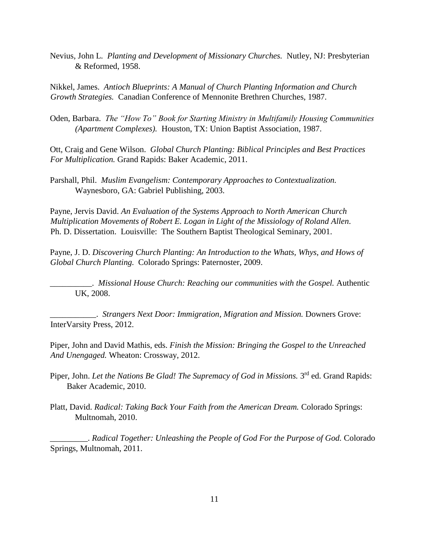Nevius, John L. *Planting and Development of Missionary Churches.* Nutley, NJ: Presbyterian & Reformed, 1958.

Nikkel, James. *Antioch Blueprints: A Manual of Church Planting Information and Church Growth Strategies.* Canadian Conference of Mennonite Brethren Churches, 1987.

Oden, Barbara. *The "How To" Book for Starting Ministry in Multifamily Housing Communities (Apartment Complexes).* Houston, TX: Union Baptist Association, 1987.

Ott, Craig and Gene Wilson. *Global Church Planting: Biblical Principles and Best Practices For Multiplication.* Grand Rapids: Baker Academic, 2011.

Parshall, Phil. *Muslim Evangelism: Contemporary Approaches to Contextualization.*  Waynesboro, GA: Gabriel Publishing, 2003.

Payne, Jervis David. *An Evaluation of the Systems Approach to North American Church Multiplication Movements of Robert E. Logan in Light of the Missiology of Roland Allen*. Ph. D. Dissertation. Louisville: The Southern Baptist Theological Seminary, 2001.

Payne, J. D. *Discovering Church Planting: An Introduction to the Whats, Whys, and Hows of Global Church Planting.* Colorado Springs: Paternoster, 2009.

\_\_\_\_\_\_\_\_\_\_. *Missional House Church: Reaching our communities with the Gospel.* Authentic UK, 2008.

\_\_\_\_\_\_\_\_\_\_\_. *Strangers Next Door: Immigration, Migration and Mission.* Downers Grove: InterVarsity Press, 2012.

Piper, John and David Mathis, eds. *Finish the Mission: Bringing the Gospel to the Unreached And Unengaged.* Wheaton: Crossway, 2012.

- Piper, John. *Let the Nations Be Glad! The Supremacy of God in Missions.* 3<sup>rd</sup> ed. Grand Rapids: Baker Academic, 2010.
- Platt, David. *Radical: Taking Back Your Faith from the American Dream.* Colorado Springs: Multnomah, 2010.

\_\_\_\_\_\_\_\_\_. *Radical Together: Unleashing the People of God For the Purpose of God.* Colorado Springs, Multnomah, 2011.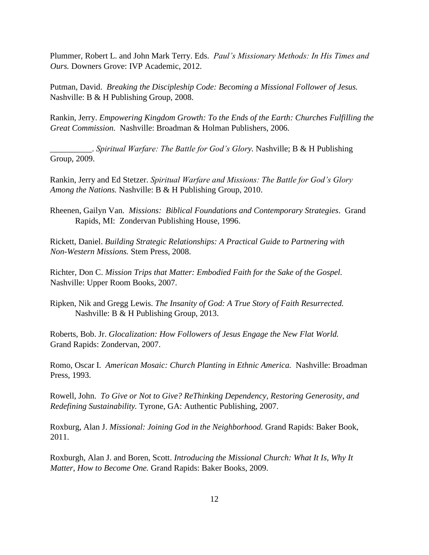Plummer, Robert L. and John Mark Terry. Eds. *Paul's Missionary Methods: In His Times and Ours.* Downers Grove: IVP Academic, 2012.

Putman, David. *Breaking the Discipleship Code: Becoming a Missional Follower of Jesus.*  Nashville: B & H Publishing Group, 2008.

Rankin, Jerry. *Empowering Kingdom Growth: To the Ends of the Earth: Churches Fulfilling the Great Commission.* Nashville: Broadman & Holman Publishers, 2006.

\_\_\_\_\_\_\_\_\_\_. *Spiritual Warfare: The Battle for God's Glory.* Nashville; B & H Publishing Group, 2009.

Rankin, Jerry and Ed Stetzer. *Spiritual Warfare and Missions: The Battle for God's Glory Among the Nations.* Nashville: B & H Publishing Group, 2010.

Rheenen, Gailyn Van. *Missions: Biblical Foundations and Contemporary Strategies*. Grand Rapids, MI: Zondervan Publishing House, 1996.

Rickett, Daniel. *Building Strategic Relationships: A Practical Guide to Partnering with Non-Western Missions.* Stem Press, 2008.

Richter, Don C. *Mission Trips that Matter: Embodied Faith for the Sake of the Gospel.*  Nashville: Upper Room Books, 2007.

Ripken, Nik and Gregg Lewis. *The Insanity of God: A True Story of Faith Resurrected.*  Nashville: B & H Publishing Group, 2013.

Roberts, Bob. Jr. *Glocalization: How Followers of Jesus Engage the New Flat World.*  Grand Rapids: Zondervan, 2007.

Romo, Oscar I. *American Mosaic: Church Planting in Ethnic America.* Nashville: Broadman Press, 1993.

Rowell, John. *To Give or Not to Give? ReThinking Dependency, Restoring Generosity, and Redefining Sustainability.* Tyrone, GA: Authentic Publishing, 2007.

Roxburg, Alan J. *Missional: Joining God in the Neighborhood.* Grand Rapids: Baker Book, 2011.

Roxburgh, Alan J. and Boren, Scott. *Introducing the Missional Church: What It Is, Why It Matter, How to Become One.* Grand Rapids: Baker Books, 2009.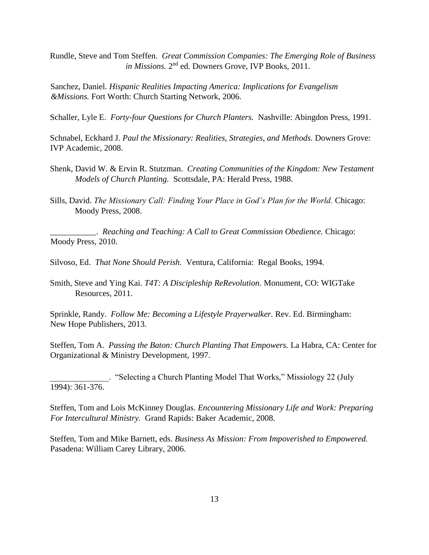Rundle, Steve and Tom Steffen. *Great Commission Companies: The Emerging Role of Business*  in Missions. 2<sup>nd</sup> ed. Downers Grove, IVP Books, 2011.

Sanchez, Daniel. *Hispanic Realities Impacting America: Implications for Evangelism &Missions.* Fort Worth: Church Starting Network, 2006.

Schaller, Lyle E. *Forty-four Questions for Church Planters.* Nashville: Abingdon Press, 1991.

Schnabel, Eckhard J. *Paul the Missionary: Realities, Strategies, and Methods. Downers Grove:* IVP Academic, 2008.

- Shenk, David W. & Ervin R. Stutzman. *Creating Communities of the Kingdom: New Testament Models of Church Planting.* Scottsdale, PA: Herald Press, 1988.
- Sills, David. *The Missionary Call: Finding Your Place in God's Plan for the World.* Chicago: Moody Press, 2008.

\_\_\_\_\_\_\_\_\_\_\_. *Reaching and Teaching: A Call to Great Commission Obedience.* Chicago: Moody Press, 2010.

Silvoso, Ed. *That None Should Perish.* Ventura, California: Regal Books, 1994.

Smith, Steve and Ying Kai. *T4T: A Discipleship ReRevolution.* Monument, CO: WIGTake Resources, 2011.

Sprinkle, Randy. *Follow Me: Becoming a Lifestyle Prayerwalker.* Rev. Ed. Birmingham: New Hope Publishers, 2013.

Steffen, Tom A. *Passing the Baton: Church Planting That Empowers.* La Habra, CA: Center for Organizational & Ministry Development, 1997.

\_\_\_\_\_\_\_\_\_\_\_\_\_\_. "Selecting a Church Planting Model That Works," Missiology 22 (July 1994): 361-376.

Steffen, Tom and Lois McKinney Douglas. *Encountering Missionary Life and Work: Preparing For Intercultural Ministry.* Grand Rapids: Baker Academic, 2008.

Steffen, Tom and Mike Barnett, eds. *Business As Mission: From Impoverished to Empowered.*  Pasadena: William Carey Library, 2006.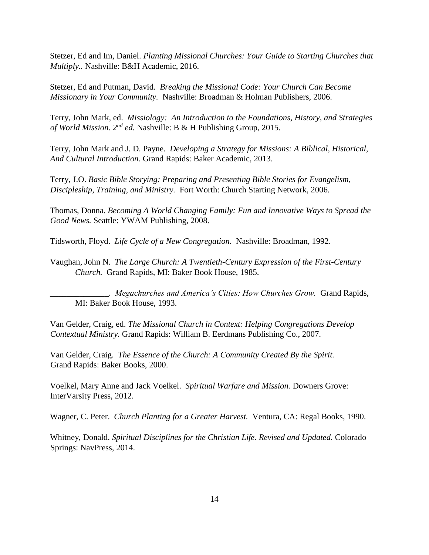Stetzer, Ed and Im, Daniel. *Planting Missional Churches: Your Guide to Starting Churches that Multiply..* Nashville: B&H Academic, 2016.

Stetzer, Ed and Putman, David. *Breaking the Missional Code: Your Church Can Become Missionary in Your Community.* Nashville: Broadman & Holman Publishers, 2006.

Terry, John Mark, ed. *Missiology: An Introduction to the Foundations, History, and Strategies of World Mission. 2nd ed.* Nashville: B & H Publishing Group, 2015.

Terry, John Mark and J. D. Payne. *Developing a Strategy for Missions: A Biblical, Historical, And Cultural Introduction.* Grand Rapids: Baker Academic, 2013.

Terry, J.O. *Basic Bible Storying: Preparing and Presenting Bible Stories for Evangelism, Discipleship, Training, and Ministry.* Fort Worth: Church Starting Network, 2006.

Thomas, Donna. *Becoming A World Changing Family: Fun and Innovative Ways to Spread the Good News.* Seattle: YWAM Publishing, 2008.

Tidsworth, Floyd. *Life Cycle of a New Congregation.* Nashville: Broadman, 1992.

Vaughan, John N. *The Large Church: A Twentieth-Century Expression of the First-Century Church.* Grand Rapids, MI: Baker Book House, 1985.

\_\_\_\_\_\_\_\_\_\_\_\_\_\_. *Megachurches and America's Cities: How Churches Grow.* Grand Rapids, MI: Baker Book House, 1993.

Van Gelder, Craig, ed. *The Missional Church in Context: Helping Congregations Develop Contextual Ministry.* Grand Rapids: William B. Eerdmans Publishing Co., 2007.

Van Gelder, Craig. *The Essence of the Church: A Community Created By the Spirit.*  Grand Rapids: Baker Books, 2000.

Voelkel, Mary Anne and Jack Voelkel. *Spiritual Warfare and Mission.* Downers Grove: InterVarsity Press, 2012.

Wagner, C. Peter. *Church Planting for a Greater Harvest.* Ventura, CA: Regal Books, 1990.

Whitney, Donald. *Spiritual Disciplines for the Christian Life. Revised and Updated.* Colorado Springs: NavPress, 2014.